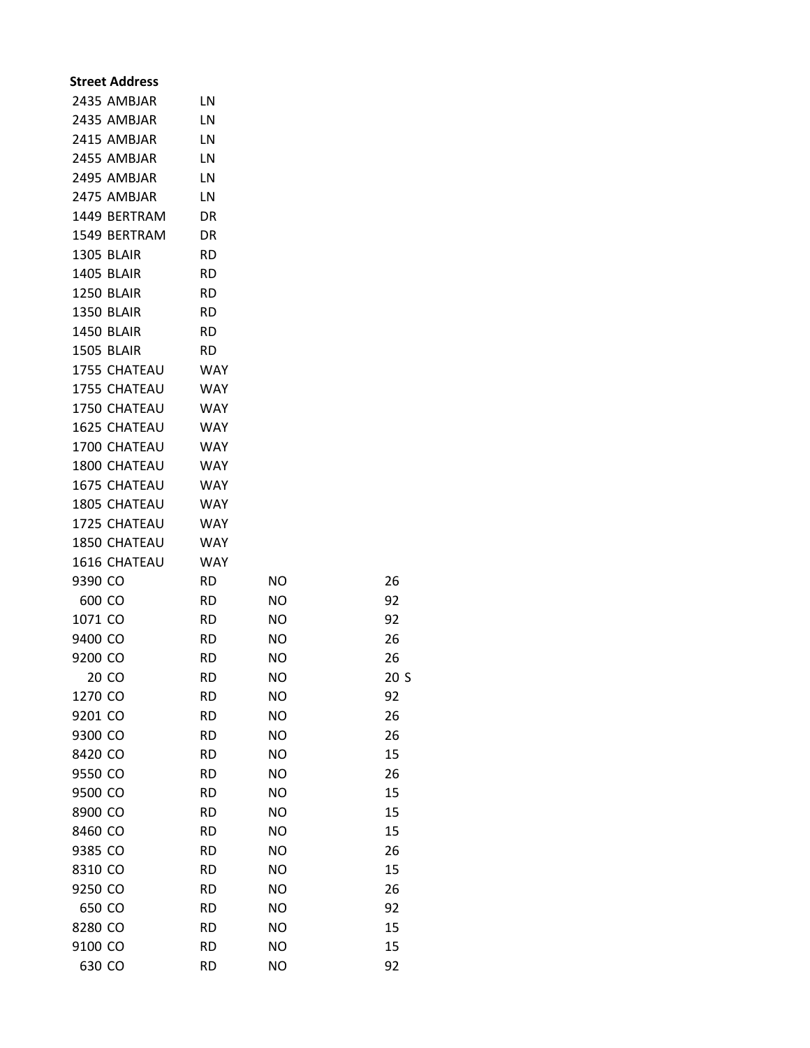| <b>Street Address</b> |            |           |      |
|-----------------------|------------|-----------|------|
| 2435 AMBJAR           | LN         |           |      |
| 2435 AMBJAR           | LN         |           |      |
| 2415 AMBJAR           | LN         |           |      |
| 2455 AMBJAR           | LN         |           |      |
| 2495 AMBJAR           | LN         |           |      |
| 2475 AMBJAR           | LN         |           |      |
| 1449 BERTRAM          | <b>DR</b>  |           |      |
| 1549 BERTRAM          | DR         |           |      |
| <b>1305 BLAIR</b>     | <b>RD</b>  |           |      |
| <b>1405 BLAIR</b>     | <b>RD</b>  |           |      |
| 1250 BLAIR            | <b>RD</b>  |           |      |
| <b>1350 BLAIR</b>     | <b>RD</b>  |           |      |
| <b>1450 BLAIR</b>     | <b>RD</b>  |           |      |
| <b>1505 BLAIR</b>     | <b>RD</b>  |           |      |
| 1755 CHATEAU          | WAY        |           |      |
| 1755 CHATEAU          | WAY        |           |      |
| 1750 CHATEAU          | WAY        |           |      |
| 1625 CHATEAU          | <b>WAY</b> |           |      |
| 1700 CHATEAU          | <b>WAY</b> |           |      |
| 1800 CHATEAU          | <b>WAY</b> |           |      |
| 1675 CHATEAU          | <b>WAY</b> |           |      |
| 1805 CHATEAU          | <b>WAY</b> |           |      |
| 1725 CHATEAU          | <b>WAY</b> |           |      |
| 1850 CHATEAU          | <b>WAY</b> |           |      |
| 1616 CHATEAU          | <b>WAY</b> |           |      |
| 9390 CO               | RD.        | NO        | 26   |
| 600 CO                | RD.        | <b>NO</b> | 92   |
| 1071 CO               | RD.        | <b>NO</b> | 92   |
| 9400 CO               | RD.        | ΝO        | 26   |
| 9200 CO               | <b>RD</b>  | <b>NO</b> | 26   |
| 20 CO                 | <b>RD</b>  | <b>NO</b> | 20 S |
| 1270 CO               | <b>RD</b>  | <b>NO</b> | 92   |
| 9201 CO               | <b>RD</b>  | <b>NO</b> | 26   |
| 9300 CO               | <b>RD</b>  | <b>NO</b> | 26   |
| 8420 CO               | <b>RD</b>  | <b>NO</b> | 15   |
| 9550 CO               | <b>RD</b>  | <b>NO</b> | 26   |
| 9500 CO               | <b>RD</b>  | <b>NO</b> | 15   |
| 8900 CO               | <b>RD</b>  | <b>NO</b> | 15   |
| 8460 CO               | <b>RD</b>  | <b>NO</b> | 15   |
| 9385 CO               | <b>RD</b>  | <b>NO</b> | 26   |
| 8310 CO               | <b>RD</b>  | <b>NO</b> | 15   |
| 9250 CO               | <b>RD</b>  | <b>NO</b> | 26   |
| 650 CO                | <b>RD</b>  | <b>NO</b> | 92   |
| 8280 CO               | <b>RD</b>  | <b>NO</b> | 15   |
| 9100 CO               | <b>RD</b>  | <b>NO</b> | 15   |
| 630 CO                | <b>RD</b>  | ΝO        | 92   |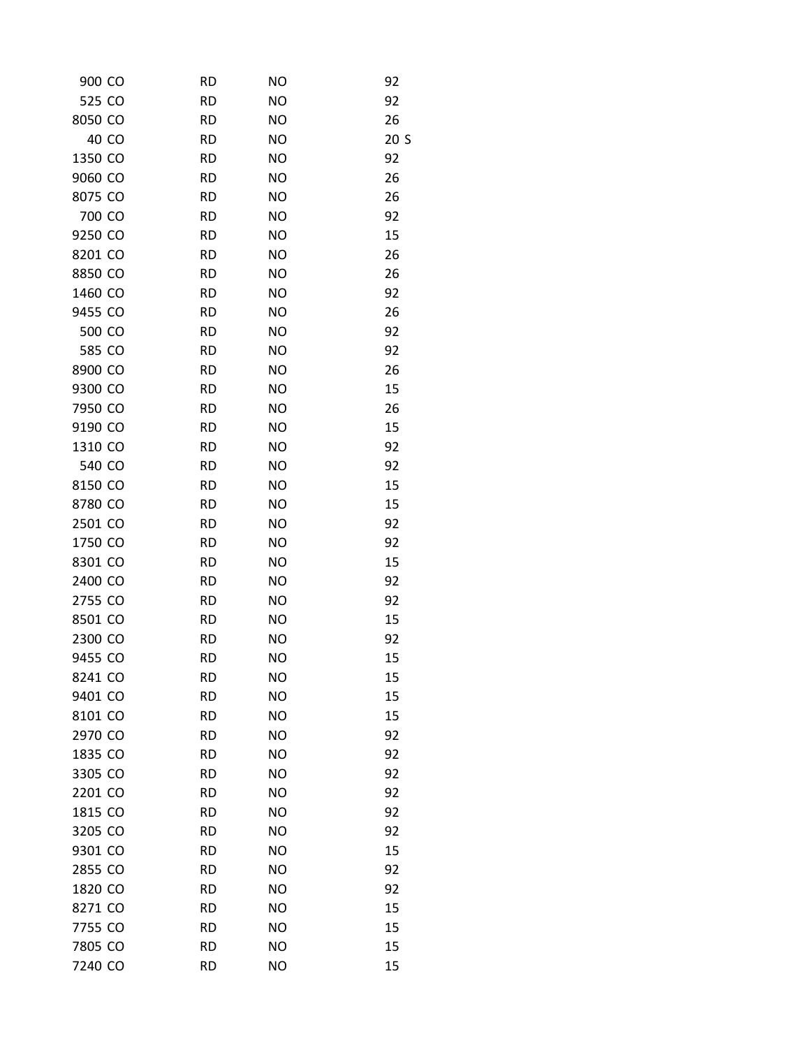| 900 CO  | <b>RD</b> | <b>NO</b> | 92              |
|---------|-----------|-----------|-----------------|
| 525 CO  | <b>RD</b> | <b>NO</b> | 92              |
| 8050 CO | <b>RD</b> | <b>NO</b> | 26              |
| 40 CO   | <b>RD</b> | <b>NO</b> | 20 <sub>S</sub> |
| 1350 CO | <b>RD</b> | <b>NO</b> | 92              |
| 9060 CO | <b>RD</b> | <b>NO</b> | 26              |
| 8075 CO | <b>RD</b> | <b>NO</b> | 26              |
| 700 CO  | <b>RD</b> | <b>NO</b> | 92              |
| 9250 CO | <b>RD</b> | <b>NO</b> | 15              |
| 8201 CO | <b>RD</b> | <b>NO</b> | 26              |
| 8850 CO | <b>RD</b> | <b>NO</b> | 26              |
| 1460 CO | <b>RD</b> | <b>NO</b> | 92              |
| 9455 CO | <b>RD</b> | <b>NO</b> | 26              |
| 500 CO  | <b>RD</b> | <b>NO</b> | 92              |
| 585 CO  | <b>RD</b> | <b>NO</b> | 92              |
| 8900 CO | <b>RD</b> | <b>NO</b> | 26              |
| 9300 CO | <b>RD</b> | <b>NO</b> | 15              |
| 7950 CO | <b>RD</b> | <b>NO</b> | 26              |
| 9190 CO | <b>RD</b> | <b>NO</b> | 15              |
| 1310 CO | <b>RD</b> | <b>NO</b> | 92              |
| 540 CO  | <b>RD</b> | <b>NO</b> | 92              |
| 8150 CO | <b>RD</b> | <b>NO</b> | 15              |
| 8780 CO | <b>RD</b> | <b>NO</b> | 15              |
| 2501 CO | <b>RD</b> | <b>NO</b> | 92              |
| 1750 CO | <b>RD</b> | <b>NO</b> | 92              |
| 8301 CO | <b>RD</b> | <b>NO</b> | 15              |
| 2400 CO | <b>RD</b> | <b>NO</b> | 92              |
| 2755 CO | <b>RD</b> | <b>NO</b> | 92              |
| 8501 CO | <b>RD</b> | <b>NO</b> | 15              |
| 2300 CO | <b>RD</b> | <b>NO</b> | 92              |
| 9455 CO | <b>RD</b> | <b>NO</b> | 15              |
| 8241 CO | <b>RD</b> | <b>NO</b> | 15              |
| 9401 CO | <b>RD</b> | <b>NO</b> | 15              |
| 8101 CO | <b>RD</b> | <b>NO</b> | 15              |
| 2970 CO | <b>RD</b> | <b>NO</b> | 92              |
| 1835 CO | <b>RD</b> | <b>NO</b> | 92              |
| 3305 CO | <b>RD</b> | <b>NO</b> | 92              |
| 2201 CO | <b>RD</b> | <b>NO</b> | 92              |
| 1815 CO | <b>RD</b> | <b>NO</b> | 92              |
| 3205 CO | <b>RD</b> | <b>NO</b> | 92              |
| 9301 CO | <b>RD</b> | <b>NO</b> | 15              |
| 2855 CO | <b>RD</b> | <b>NO</b> | 92              |
| 1820 CO | <b>RD</b> | <b>NO</b> | 92              |
| 8271 CO | <b>RD</b> | <b>NO</b> | 15              |
| 7755 CO | <b>RD</b> | <b>NO</b> | 15              |
| 7805 CO | <b>RD</b> | <b>NO</b> | 15              |
| 7240 CO | <b>RD</b> | <b>NO</b> | 15              |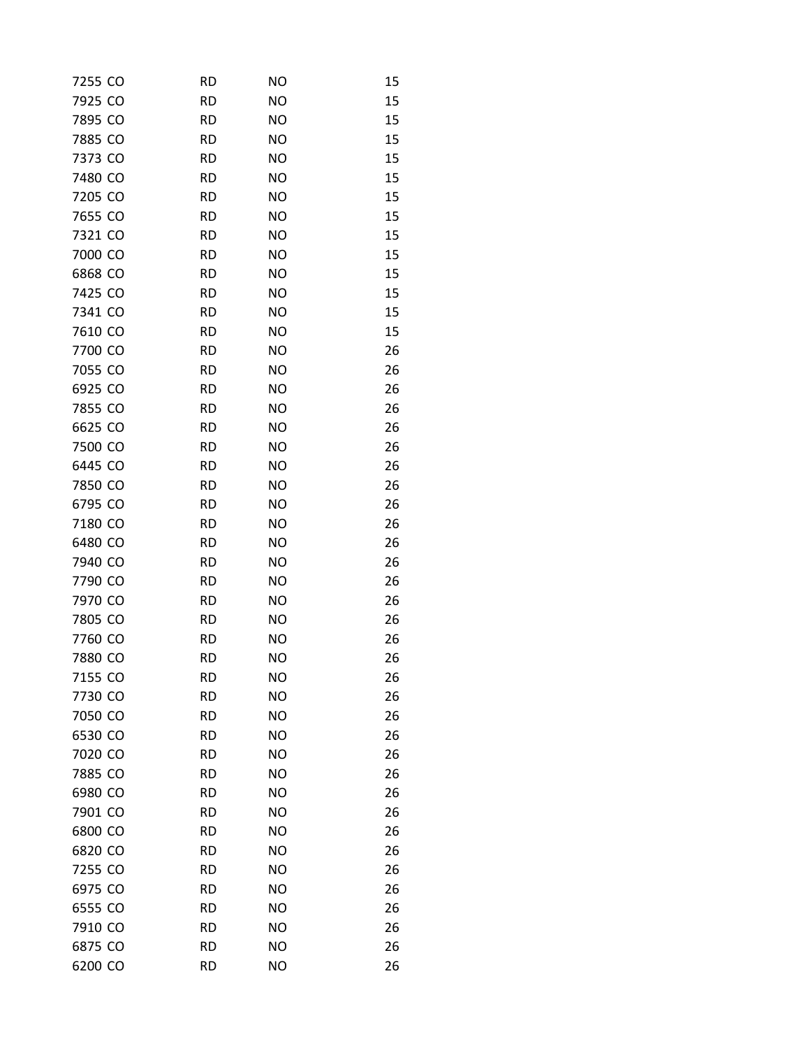| 7255 CO | <b>RD</b> | <b>NO</b> | 15 |
|---------|-----------|-----------|----|
| 7925 CO | <b>RD</b> | <b>NO</b> | 15 |
| 7895 CO | <b>RD</b> | <b>NO</b> | 15 |
| 7885 CO | <b>RD</b> | <b>NO</b> | 15 |
| 7373 CO | <b>RD</b> | <b>NO</b> | 15 |
| 7480 CO | <b>RD</b> | <b>NO</b> | 15 |
| 7205 CO | <b>RD</b> | <b>NO</b> | 15 |
| 7655 CO | <b>RD</b> | <b>NO</b> | 15 |
| 7321 CO | <b>RD</b> | <b>NO</b> | 15 |
| 7000 CO | <b>RD</b> | <b>NO</b> | 15 |
| 6868 CO | <b>RD</b> | <b>NO</b> | 15 |
| 7425 CO | <b>RD</b> | <b>NO</b> | 15 |
| 7341 CO | <b>RD</b> | <b>NO</b> | 15 |
| 7610 CO | <b>RD</b> | <b>NO</b> | 15 |
| 7700 CO | <b>RD</b> | <b>NO</b> | 26 |
| 7055 CO | <b>RD</b> | <b>NO</b> | 26 |
| 6925 CO | <b>RD</b> | <b>NO</b> | 26 |
| 7855 CO | <b>RD</b> | <b>NO</b> | 26 |
| 6625 CO | <b>RD</b> | <b>NO</b> | 26 |
| 7500 CO | <b>RD</b> | <b>NO</b> | 26 |
| 6445 CO | <b>RD</b> | <b>NO</b> | 26 |
| 7850 CO | <b>RD</b> | <b>NO</b> | 26 |
| 6795 CO | <b>RD</b> | <b>NO</b> | 26 |
| 7180 CO | <b>RD</b> | <b>NO</b> | 26 |
| 6480 CO | <b>RD</b> | <b>NO</b> | 26 |
| 7940 CO | <b>RD</b> | <b>NO</b> | 26 |
| 7790 CO | <b>RD</b> | <b>NO</b> | 26 |
| 7970 CO | <b>RD</b> | <b>NO</b> | 26 |
| 7805 CO | <b>RD</b> | <b>NO</b> | 26 |
| 7760 CO | <b>RD</b> | <b>NO</b> | 26 |
| 7880 CO | <b>RD</b> | NΟ        | 26 |
| 7155 CO | <b>RD</b> | <b>NO</b> | 26 |
| 7730 CO | <b>RD</b> | <b>NO</b> | 26 |
| 7050 CO | <b>RD</b> | <b>NO</b> | 26 |
| 6530 CO | <b>RD</b> | <b>NO</b> | 26 |
| 7020 CO | <b>RD</b> | <b>NO</b> | 26 |
| 7885 CO | <b>RD</b> | <b>NO</b> | 26 |
| 6980 CO | <b>RD</b> | <b>NO</b> | 26 |
| 7901 CO | <b>RD</b> | <b>NO</b> | 26 |
| 6800 CO | <b>RD</b> | <b>NO</b> | 26 |
| 6820 CO | <b>RD</b> | <b>NO</b> | 26 |
| 7255 CO | <b>RD</b> | <b>NO</b> | 26 |
| 6975 CO | <b>RD</b> | <b>NO</b> | 26 |
| 6555 CO | <b>RD</b> | <b>NO</b> | 26 |
| 7910 CO | <b>RD</b> | <b>NO</b> | 26 |
| 6875 CO | <b>RD</b> | <b>NO</b> | 26 |
| 6200 CO | <b>RD</b> | <b>NO</b> | 26 |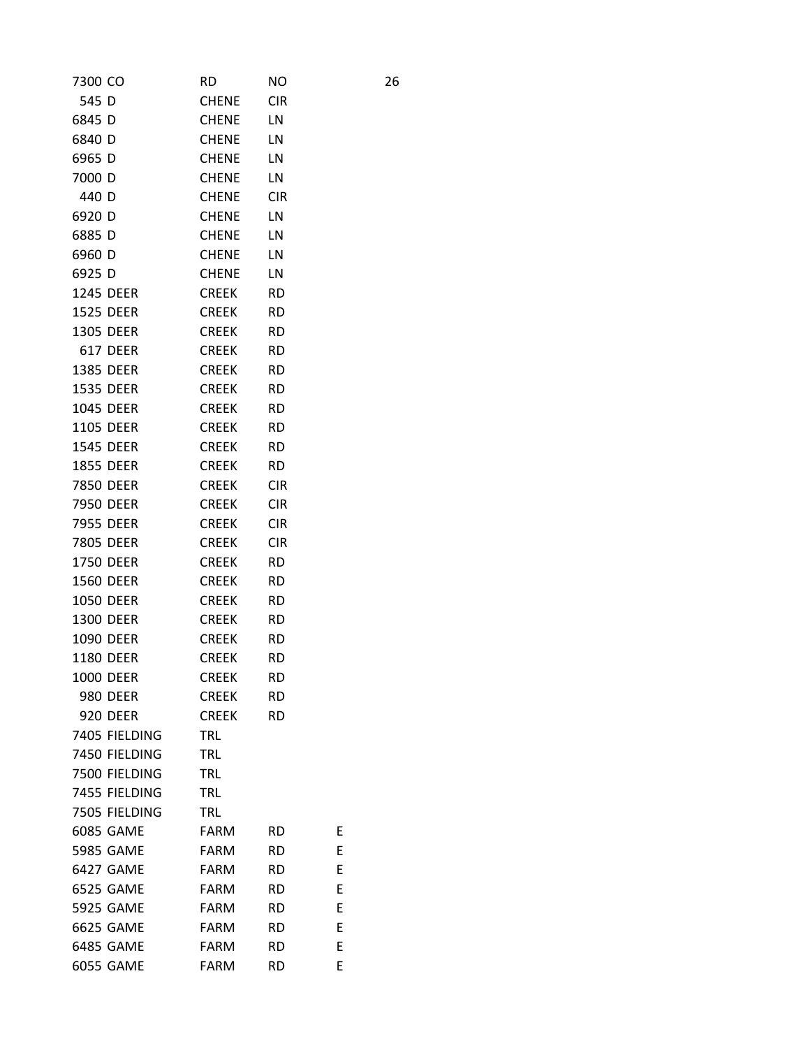| 7300 CO          | RD           | <b>NO</b>  |   | 26 |
|------------------|--------------|------------|---|----|
| 545 D            | <b>CHENE</b> | <b>CIR</b> |   |    |
| 6845 D           | <b>CHENE</b> | LN         |   |    |
| 6840 D           | <b>CHENE</b> | LN         |   |    |
| 6965 D           | <b>CHENE</b> | LN         |   |    |
| 7000 D           | <b>CHENE</b> | LN         |   |    |
| 440 D            | <b>CHENE</b> | <b>CIR</b> |   |    |
| 6920 D           | <b>CHENE</b> | LN         |   |    |
| 6885 D           | <b>CHENE</b> | LN         |   |    |
| 6960 D           | <b>CHENE</b> | LN         |   |    |
| 6925 D           | <b>CHENE</b> | LN         |   |    |
| 1245 DEER        | <b>CREEK</b> | <b>RD</b>  |   |    |
| 1525 DEER        | <b>CREEK</b> | <b>RD</b>  |   |    |
| 1305 DEER        | <b>CREEK</b> | <b>RD</b>  |   |    |
| <b>617 DEER</b>  | <b>CREEK</b> | <b>RD</b>  |   |    |
| 1385 DEER        | <b>CREEK</b> | <b>RD</b>  |   |    |
| 1535 DEER        | <b>CREEK</b> | <b>RD</b>  |   |    |
| 1045 DEER        | <b>CREEK</b> | <b>RD</b>  |   |    |
| 1105 DEER        | <b>CREEK</b> | <b>RD</b>  |   |    |
| 1545 DEER        | <b>CREEK</b> | <b>RD</b>  |   |    |
| 1855 DEER        | <b>CREEK</b> | <b>RD</b>  |   |    |
| 7850 DEER        | <b>CREEK</b> | <b>CIR</b> |   |    |
| 7950 DEER        | <b>CREEK</b> | <b>CIR</b> |   |    |
| 7955 DEER        | <b>CREEK</b> | <b>CIR</b> |   |    |
| 7805 DEER        | <b>CREEK</b> | <b>CIR</b> |   |    |
| 1750 DEER        | <b>CREEK</b> | <b>RD</b>  |   |    |
| 1560 DEER        | <b>CREEK</b> | <b>RD</b>  |   |    |
| <b>1050 DEER</b> | <b>CREEK</b> | <b>RD</b>  |   |    |
| 1300 DEER        | <b>CREEK</b> | <b>RD</b>  |   |    |
| 1090 DEER        | <b>CREEK</b> | <b>RD</b>  |   |    |
| 1180 DEER        | <b>CREEK</b> | <b>RD</b>  |   |    |
| <b>1000 DEER</b> | CREEK        | <b>RD</b>  |   |    |
| <b>980 DEER</b>  | <b>CREEK</b> | <b>RD</b>  |   |    |
| 920 DEER         | <b>CREEK</b> | <b>RD</b>  |   |    |
| 7405 FIELDING    | TRL          |            |   |    |
| 7450 FIELDING    | <b>TRL</b>   |            |   |    |
| 7500 FIELDING    | <b>TRL</b>   |            |   |    |
| 7455 FIELDING    | TRL          |            |   |    |
| 7505 FIELDING    | TRL          |            |   |    |
| 6085 GAME        | FARM         | <b>RD</b>  | Ε |    |
| 5985 GAME        | <b>FARM</b>  | <b>RD</b>  | Ε |    |
| 6427 GAME        | <b>FARM</b>  | <b>RD</b>  | E |    |
| 6525 GAME        | <b>FARM</b>  | <b>RD</b>  | E |    |
| 5925 GAME        | FARM         | <b>RD</b>  | E |    |
| 6625 GAME        | <b>FARM</b>  | <b>RD</b>  | E |    |
| 6485 GAME        | <b>FARM</b>  | RD         | E |    |
| 6055 GAME        | <b>FARM</b>  | RD         | E |    |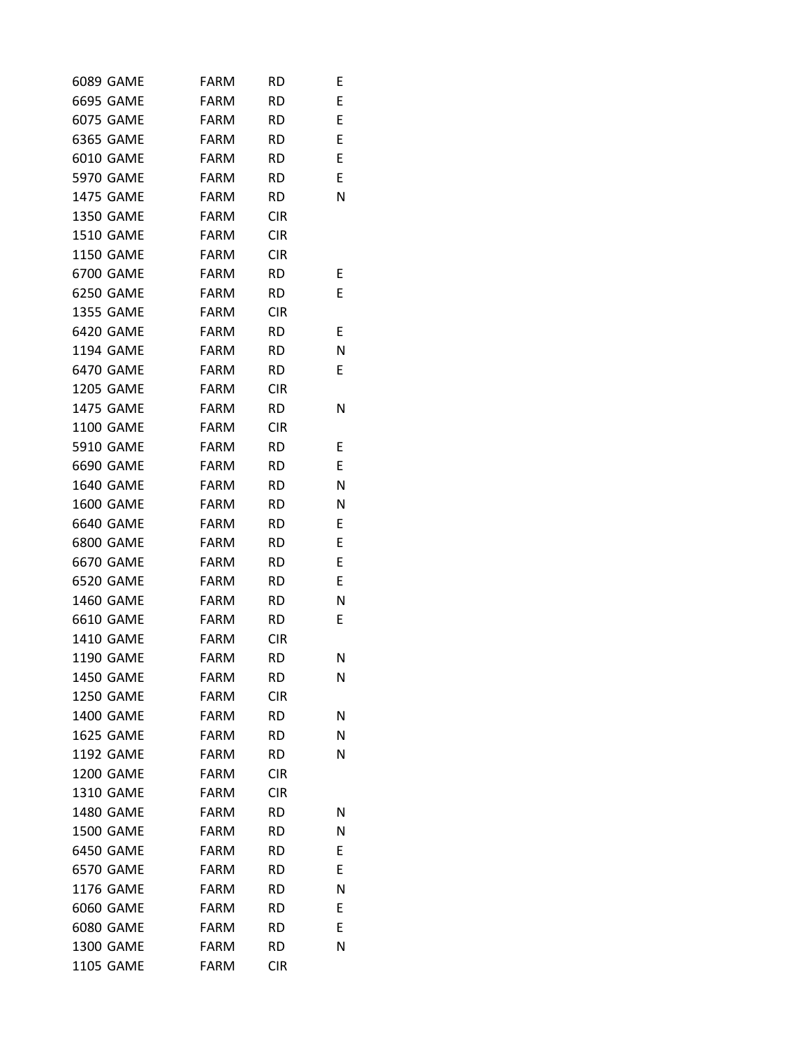| 6089 GAME        | FARM        | <b>RD</b>  | Ε |
|------------------|-------------|------------|---|
| 6695 GAME        | FARM        | <b>RD</b>  | E |
| 6075 GAME        | FARM        | RD.        | E |
| 6365 GAME        | <b>FARM</b> | <b>RD</b>  | E |
| 6010 GAME        | <b>FARM</b> | RD         | E |
| 5970 GAME        | FARM        | RD.        | E |
| 1475 GAME        | FARM        | <b>RD</b>  | Ν |
| 1350 GAME        | FARM        | <b>CIR</b> |   |
| 1510 GAME        | FARM        | <b>CIR</b> |   |
| 1150 GAME        | FARM        | <b>CIR</b> |   |
| 6700 GAME        | FARM        | <b>RD</b>  | Ε |
| 6250 GAME        | FARM        | <b>RD</b>  | E |
| 1355 GAME        | FARM        | <b>CIR</b> |   |
| 6420 GAME        | FARM        | <b>RD</b>  | Ε |
| 1194 GAME        | FARM        | RD.        | N |
| 6470 GAME        | FARM        | <b>RD</b>  | E |
| 1205 GAME        | FARM        | <b>CIR</b> |   |
| 1475 GAME        | <b>FARM</b> | <b>RD</b>  | Ν |
| 1100 GAME        | FARM        | <b>CIR</b> |   |
| 5910 GAME        | FARM        | RD.        | Ε |
| 6690 GAME        | FARM        | <b>RD</b>  | E |
| 1640 GAME        | FARM        | <b>RD</b>  | N |
| <b>1600 GAME</b> | <b>FARM</b> | <b>RD</b>  | N |
| 6640 GAME        | FARM        | RD.        | E |
| 6800 GAME        | FARM        | <b>RD</b>  | E |
| 6670 GAME        | FARM        | <b>RD</b>  | E |
| 6520 GAME        | FARM        | <b>RD</b>  | E |
| 1460 GAME        | FARM        | <b>RD</b>  | N |
| 6610 GAME        | <b>FARM</b> | <b>RD</b>  | E |
| 1410 GAME        | FARM        | <b>CIR</b> |   |
| 1190 GAME        | <b>FARM</b> | <b>RD</b>  | Ν |
| 1450 GAME        | FARM        | <b>RD</b>  | Ν |
| 1250 GAME        | <b>FARM</b> | <b>CIR</b> |   |
| <b>1400 GAME</b> | <b>FARM</b> | <b>RD</b>  | Ν |
| <b>1625 GAME</b> | <b>FARM</b> | <b>RD</b>  | N |
| 1192 GAME        | <b>FARM</b> | <b>RD</b>  | Ν |
| <b>1200 GAME</b> | <b>FARM</b> | <b>CIR</b> |   |
| 1310 GAME        | <b>FARM</b> | <b>CIR</b> |   |
| 1480 GAME        | <b>FARM</b> | <b>RD</b>  | Ν |
| <b>1500 GAME</b> | <b>FARM</b> | <b>RD</b>  | Ν |
| 6450 GAME        | <b>FARM</b> | <b>RD</b>  | E |
| 6570 GAME        | <b>FARM</b> | <b>RD</b>  | E |
| 1176 GAME        | <b>FARM</b> | <b>RD</b>  | Ν |
| 6060 GAME        | <b>FARM</b> | <b>RD</b>  | E |
| <b>6080 GAME</b> | <b>FARM</b> | <b>RD</b>  | E |
| 1300 GAME        | <b>FARM</b> | <b>RD</b>  | Ν |
| 1105 GAME        | <b>FARM</b> | <b>CIR</b> |   |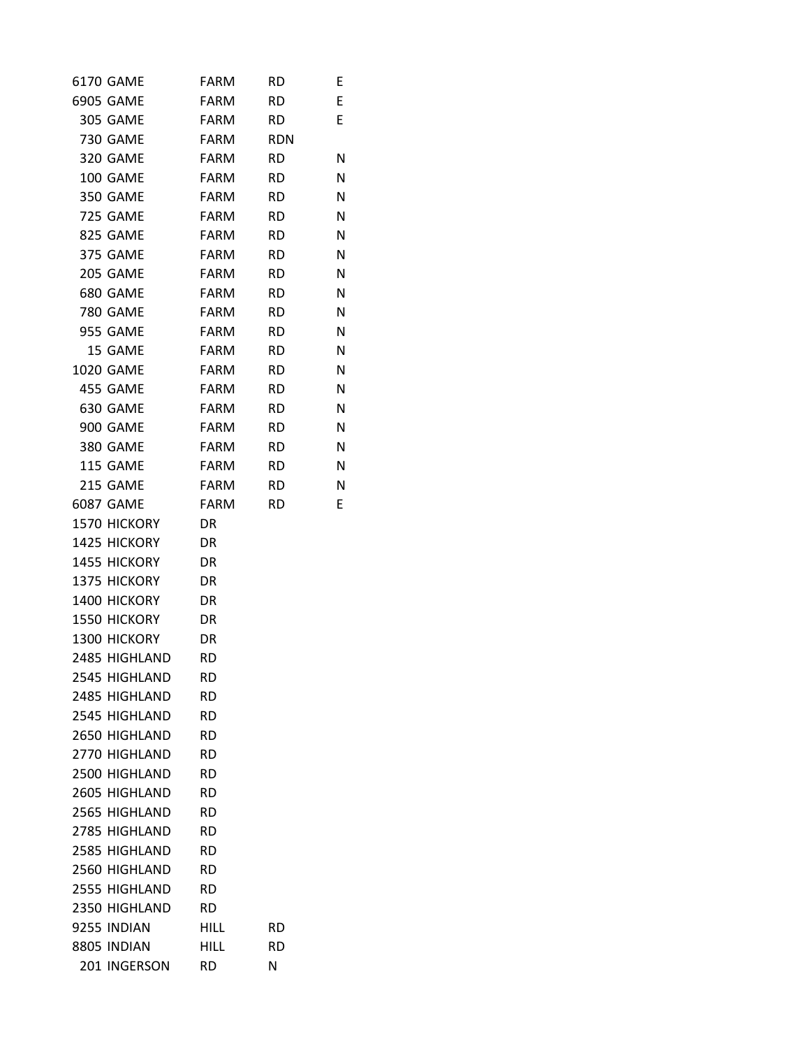| 6170 GAME       | <b>FARM</b> | <b>RD</b>  | Ε |
|-----------------|-------------|------------|---|
| 6905 GAME       | FARM        | <b>RD</b>  | E |
| 305 GAME        | FARM        | RD.        | E |
| <b>730 GAME</b> | FARM        | <b>RDN</b> |   |
| 320 GAME        | FARM        | <b>RD</b>  | N |
| 100 GAME        | FARM        | <b>RD</b>  | N |
| <b>350 GAME</b> | FARM        | <b>RD</b>  | N |
| 725 GAME        | FARM        | <b>RD</b>  | N |
| 825 GAME        | FARM        | <b>RD</b>  | N |
| 375 GAME        | FARM        | <b>RD</b>  | N |
| 205 GAME        | FARM        | <b>RD</b>  | N |
| 680 GAME        | FARM        | <b>RD</b>  | N |
| 780 GAME        | FARM        | <b>RD</b>  | N |
| 955 GAME        | FARM        | <b>RD</b>  | N |
| 15 GAME         | FARM        | <b>RD</b>  | N |
| 1020 GAME       | FARM        | <b>RD</b>  | N |
| 455 GAME        | FARM        | <b>RD</b>  | N |
| 630 GAME        | FARM        | <b>RD</b>  | N |
| 900 GAME        | FARM        | <b>RD</b>  | N |
| 380 GAME        | FARM        | <b>RD</b>  | N |
| 115 GAME        | FARM        | <b>RD</b>  | Ν |
| 215 GAME        | FARM        | <b>RD</b>  | N |
| 6087 GAME       | FARM        | <b>RD</b>  | E |
| 1570 HICKORY    | DR          |            |   |
| 1425 HICKORY    | DR          |            |   |
| 1455 HICKORY    | DR          |            |   |
| 1375 HICKORY    | DR          |            |   |
| 1400 HICKORY    | DR          |            |   |
| 1550 HICKORY    | DR          |            |   |
| 1300 HICKORY    | DR          |            |   |
| 2485 HIGHLAND   | <b>RD</b>   |            |   |
| 2545 HIGHLAND   | RD          |            |   |
| 2485 HIGHLAND   | RD          |            |   |
| 2545 HIGHLAND   | <b>RD</b>   |            |   |
| 2650 HIGHLAND   | <b>RD</b>   |            |   |
| 2770 HIGHLAND   | <b>RD</b>   |            |   |
| 2500 HIGHLAND   | RD          |            |   |
| 2605 HIGHLAND   | RD          |            |   |
| 2565 HIGHLAND   | <b>RD</b>   |            |   |
| 2785 HIGHLAND   | RD          |            |   |
| 2585 HIGHLAND   | RD          |            |   |
| 2560 HIGHLAND   | <b>RD</b>   |            |   |
| 2555 HIGHLAND   | <b>RD</b>   |            |   |
| 2350 HIGHLAND   | <b>RD</b>   |            |   |
| 9255 INDIAN     | HILL        | <b>RD</b>  |   |
| 8805 INDIAN     | <b>HILL</b> | <b>RD</b>  |   |
| 201 INGERSON    | RD          | N          |   |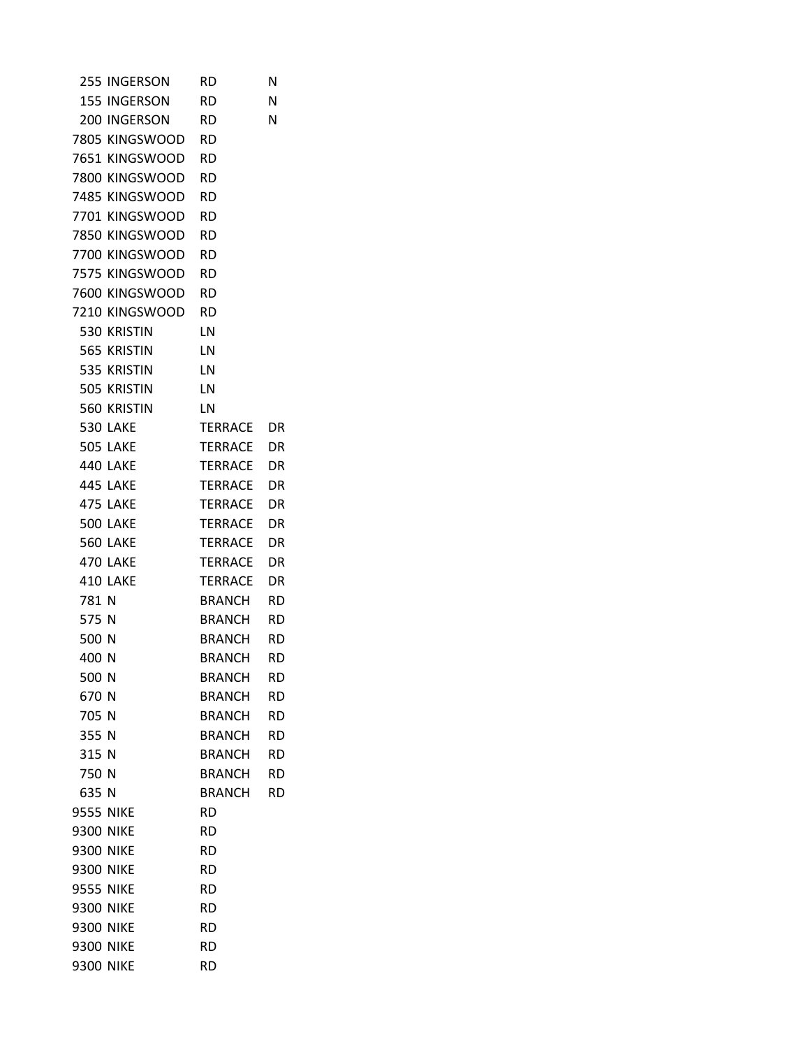|                | 255 INGERSON      | <b>RD</b>        | N                      |
|----------------|-------------------|------------------|------------------------|
|                | 155 INGERSON      | <b>RD</b>        | Ν                      |
|                | 200 INGERSON RD   |                  | N                      |
|                | 7805 KINGSWOOD RD |                  |                        |
|                | 7651 KINGSWOOD    | <b>RD</b>        |                        |
|                | 7800 KINGSWOOD    | RD               |                        |
|                | 7485 KINGSWOOD    | RD               |                        |
|                | 7701 KINGSWOOD    | <b>RD</b>        |                        |
|                | 7850 KINGSWOOD    | <b>RD</b>        |                        |
|                | 7700 KINGSWOOD    | <b>RD</b>        |                        |
|                | 7575 KINGSWOOD    | RD               |                        |
|                | 7600 KINGSWOOD    | RD               |                        |
|                | 7210 KINGSWOOD RD |                  |                        |
|                | 530 KRISTIN       | LN               |                        |
|                | 565 KRISTIN       | LN               |                        |
|                | 535 KRISTIN       | LN               |                        |
|                | 505 KRISTIN       | LN               |                        |
|                | 560 KRISTIN       | LN               |                        |
|                | <b>530 LAKE</b>   | TERRACE          | DR                     |
|                | <b>505 LAKE</b>   | TERRACE          | <b>DR</b>              |
|                | <b>440 LAKE</b>   | TERRACE          | DR                     |
|                | <b>445 LAKE</b>   | TERRACE          | DR                     |
|                | 475 LAKE          | TERRACE          | DR                     |
|                | <b>500 LAKE</b>   | TERRACE          | DR                     |
|                | <b>560 LAKE</b>   | TERRACE          | DR                     |
|                | 470 LAKE          | TERRACE          | DR                     |
|                | 410 LAKE          | TERRACE          | DR                     |
| 781 N<br>575 N |                   | BRANCH<br>BRANCH | <b>RD</b><br><b>RD</b> |
| 500 N          |                   | BRANCH           | RD.                    |
| 400 N          |                   | BRANCH           | <b>RD</b>              |
| 500 N          |                   | BRANCH           | RD                     |
| 670 N          |                   | <b>BRANCH</b>    | RD                     |
| 705 N          |                   | <b>BRANCH</b>    | <b>RD</b>              |
| 355 N          |                   | <b>BRANCH</b>    | <b>RD</b>              |
| 315 N          |                   | <b>BRANCH</b>    | <b>RD</b>              |
| 750 N          |                   | <b>BRANCH</b>    | <b>RD</b>              |
| 635 N          |                   | BRANCH           | <b>RD</b>              |
| 9555 NIKE      |                   | <b>RD</b>        |                        |
| 9300 NIKE      |                   | <b>RD</b>        |                        |
| 9300 NIKE      |                   | RD               |                        |
| 9300 NIKE      |                   | RD               |                        |
| 9555 NIKE      |                   | RD               |                        |
| 9300 NIKE      |                   | <b>RD</b>        |                        |
| 9300 NIKE      |                   | RD               |                        |
| 9300 NIKE      |                   | RD               |                        |
| 9300 NIKE      |                   | RD               |                        |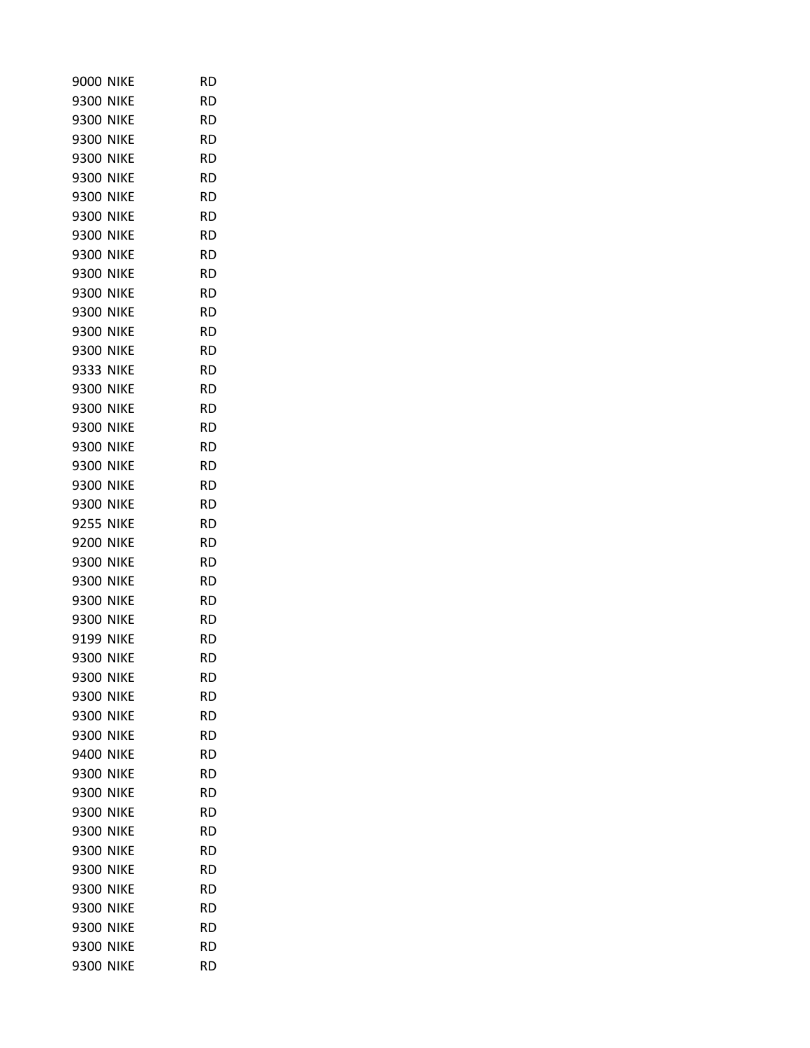| 9000 NIKE        |             | RD        |
|------------------|-------------|-----------|
| <b>9300 NIKE</b> |             | RD        |
| 9300 NIKE        |             | RD        |
| 9300 NIKE        |             | RD        |
| 9300 NIKE        |             | RD        |
| 9300 NIKE        |             | RD        |
| <b>9300 NIKE</b> |             | RD        |
| 9300 NIKE        |             | RD        |
| <b>9300 NIKE</b> |             | RD        |
| <b>9300 NIKE</b> |             | RD        |
| <b>9300 NIKE</b> |             | RD        |
| 9300 NIKE        |             | RD        |
| 9300 NIKE        |             | RD        |
| <b>9300 NIKE</b> |             | RD        |
| <b>9300 NIKE</b> |             | <b>RD</b> |
| 9333 NIKE        |             | RD        |
| 9300 NIKE        |             | <b>RD</b> |
| 9300 NIKE        |             | <b>RD</b> |
| 9300 NIKE        |             | RD        |
| <b>9300 NIKE</b> |             | <b>RD</b> |
| <b>9300 NIKE</b> |             | RD        |
| 9300 NIKE        |             | RD        |
| 9300 NIKE        |             | RD        |
| <b>9255 NIKE</b> |             | RD        |
| <b>9200 NIKE</b> |             | RD        |
| 9300 NIKE        |             | RD        |
| 9300 NIKE        |             | RD        |
| 9300 NIKE        |             | RD        |
| <b>9300 NIKE</b> |             | RD        |
| 9199 NIKE        |             | RD        |
| <b>9300 NIKE</b> |             | RD        |
| 9300             | <b>NIKE</b> | RD        |
| 9300             | <b>NIKE</b> | RD        |
| 9300 NIKE        |             | RD        |
| 9300 NIKE        |             | RD        |
| 9400             | <b>NIKE</b> | <b>RD</b> |
| 9300             | <b>NIKE</b> | RD        |
| 9300             | <b>NIKE</b> | RD        |
| 9300             | <b>NIKE</b> | RD        |
| 9300             | <b>NIKE</b> | RD        |
| 9300             | <b>NIKE</b> | RD        |
| 9300             | <b>NIKE</b> | RD        |
| 9300             | <b>NIKE</b> | RD        |
| 9300             | <b>NIKE</b> | RD        |
| 9300             | <b>NIKE</b> | RD        |
| 9300             | <b>NIKE</b> | RD        |
| 9300             | <b>NIKE</b> | RD        |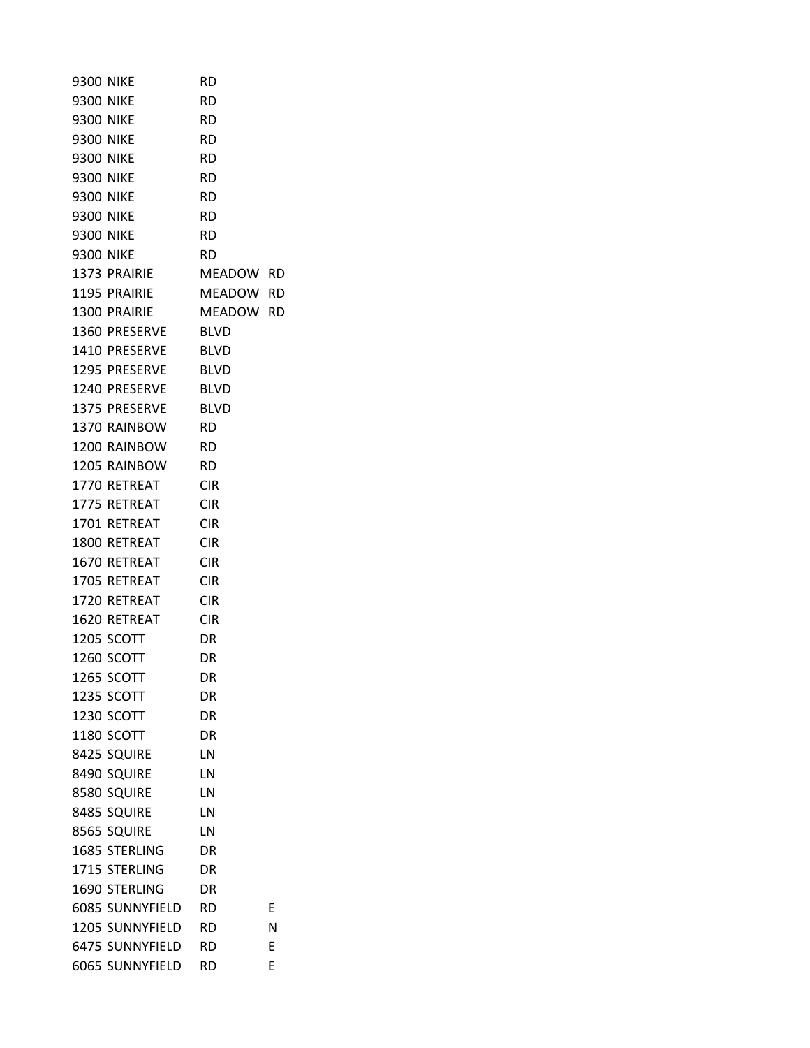| <b>9300 NIKE</b> |                    | RD          |   |
|------------------|--------------------|-------------|---|
| <b>9300 NIKE</b> |                    | RD          |   |
| <b>9300 NIKE</b> |                    | RD          |   |
| <b>9300 NIKE</b> |                    | RD          |   |
| <b>9300 NIKE</b> |                    | RD          |   |
| <b>9300 NIKE</b> |                    | RD          |   |
| <b>9300 NIKE</b> |                    | RD          |   |
| <b>9300 NIKE</b> |                    | <b>RD</b>   |   |
| <b>9300 NIKE</b> |                    | <b>RD</b>   |   |
| <b>9300 NIKE</b> |                    | <b>RD</b>   |   |
|                  | 1373 PRAIRIE       | MEADOW RD   |   |
|                  | 1195 PRAIRIE       | MEADOW RD   |   |
|                  | 1300 PRAIRIE       | MEADOW RD   |   |
|                  | 1360 PRESERVE BLVD |             |   |
|                  | 1410 PRESERVE      | <b>BLVD</b> |   |
|                  | 1295 PRESERVE      | <b>BLVD</b> |   |
|                  | 1240 PRESERVE BLVD |             |   |
|                  | 1375 PRESERVE      | <b>BLVD</b> |   |
|                  | 1370 RAINBOW       | RD          |   |
|                  | 1200 RAINBOW       | <b>RD</b>   |   |
|                  | 1205 RAINBOW       | <b>RD</b>   |   |
|                  | 1770 RETREAT       | CIR         |   |
|                  | 1775 RETREAT       | <b>CIR</b>  |   |
|                  | 1701 RETREAT       | CIR         |   |
|                  | 1800 RETREAT       | CIR         |   |
|                  | 1670 RETREAT       | CIR         |   |
|                  | 1705 RETREAT       | <b>CIR</b>  |   |
|                  | 1720 RETREAT       | CIR         |   |
|                  | 1620 RETREAT       | <b>CIR</b>  |   |
|                  | <b>1205 SCOTT</b>  | DR          |   |
|                  | 1260 SCOTT         | DR          |   |
|                  | 1265 SCOTT         | DR          |   |
|                  | 1235 SCOTT         | DR          |   |
|                  | 1230 SCOTT         | DR          |   |
|                  | 1180 SCOTT         | DR          |   |
|                  | 8425 SQUIRE        | LN          |   |
|                  | 8490 SQUIRE        | LN          |   |
|                  | 8580 SQUIRE        | LN          |   |
|                  | 8485 SQUIRE        | LN          |   |
|                  | 8565 SQUIRE        | LN          |   |
|                  | 1685 STERLING      | DR          |   |
|                  | 1715 STERLING      | DR          |   |
|                  | 1690 STERLING      | DR          |   |
|                  | 6085 SUNNYFIELD    | <b>RD</b>   | E |
|                  | 1205 SUNNYFIELD    | <b>RD</b>   | N |
|                  | 6475 SUNNYFIELD    | RD          | E |
|                  | 6065 SUNNYFIELD    | <b>RD</b>   | Ε |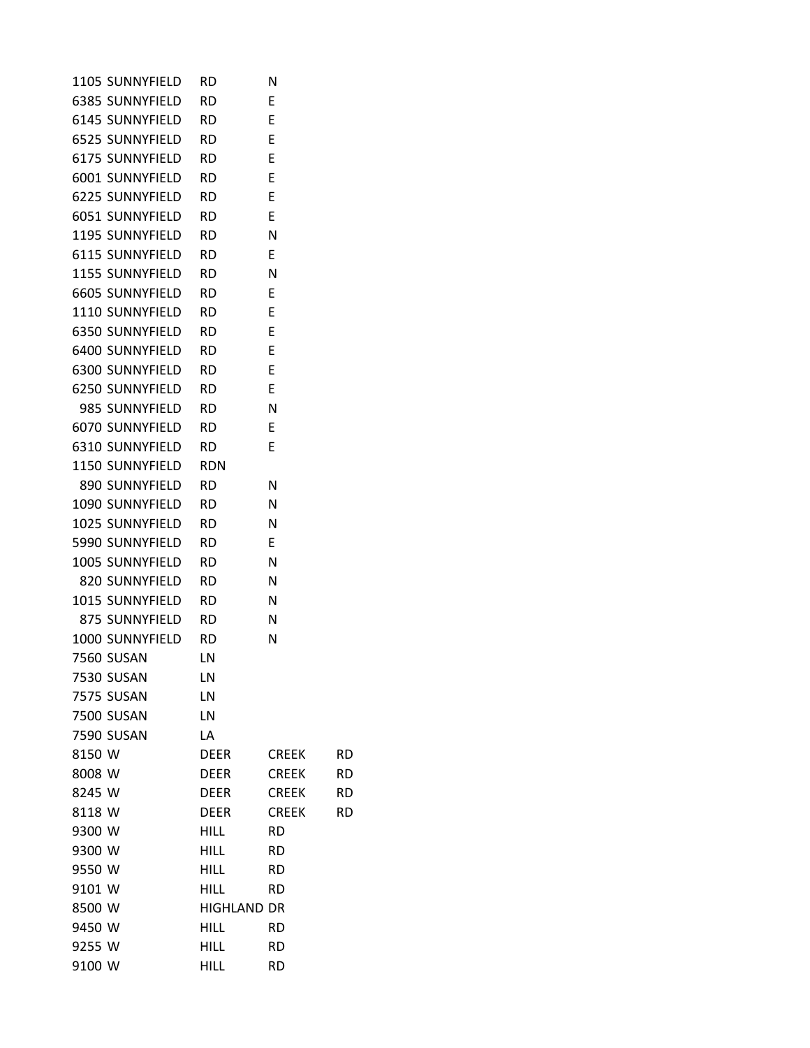| 1105 SUNNYFIELD   | <b>RD</b>          | Ν            |           |
|-------------------|--------------------|--------------|-----------|
| 6385 SUNNYFIELD   | RD.                | Ε            |           |
| 6145 SUNNYFIELD   | RD.                | E            |           |
| 6525 SUNNYFIELD   | RD.                | E            |           |
| 6175 SUNNYFIELD   | RD.                | E            |           |
| 6001 SUNNYFIELD   | RD.                | E            |           |
| 6225 SUNNYFIELD   | RD.                | E            |           |
| 6051 SUNNYFIELD   | RD.                | Ε            |           |
| 1195 SUNNYFIELD   | RD.                | N            |           |
| 6115 SUNNYFIELD   | RD.                | E            |           |
| 1155 SUNNYFIELD   | RD.                | N            |           |
| 6605 SUNNYFIELD   | RD.                | Ε            |           |
| 1110 SUNNYFIELD   | RD.                | E            |           |
| 6350 SUNNYFIELD   | <b>RD</b>          | - E          |           |
| 6400 SUNNYFIELD   | RD.                | Е            |           |
| 6300 SUNNYFIELD   | RD.                | Ε            |           |
| 6250 SUNNYFIELD   | RD.                | - E          |           |
| 985 SUNNYFIELD    | RD.                | N            |           |
| 6070 SUNNYFIELD   | RD.                | - E          |           |
| 6310 SUNNYFIELD   | RD.                | E            |           |
| 1150 SUNNYFIELD   | RDN                |              |           |
| 890 SUNNYFIELD    | <b>RD</b>          | N            |           |
| 1090 SUNNYFIELD   | RD.                | N            |           |
| 1025 SUNNYFIELD   | RD.                | N            |           |
| 5990 SUNNYFIELD   | RD.                | Ε            |           |
| 1005 SUNNYFIELD   | RD.                | N            |           |
| 820 SUNNYFIELD    | RD.                | N            |           |
| 1015 SUNNYFIELD   | <b>RD</b>          | N            |           |
| 875 SUNNYFIELD    | <b>RD</b>          | N            |           |
| 1000 SUNNYFIELD   | RD                 | N            |           |
| <b>7560 SUSAN</b> | LN                 |              |           |
| 7530 SUSAN        | LN                 |              |           |
| <b>7575 SUSAN</b> | LN                 |              |           |
| <b>7500 SUSAN</b> | LN                 |              |           |
| 7590 SUSAN        | LA                 |              |           |
| 8150 W            | <b>DEER</b>        | <b>CREEK</b> | <b>RD</b> |
| 8008 W            | <b>DEER</b>        | <b>CREEK</b> | <b>RD</b> |
| 8245 W            | <b>DEER</b>        | <b>CREEK</b> | RD        |
| 8118 W            | <b>DEER</b>        | <b>CREEK</b> | <b>RD</b> |
| 9300 W            | HILL               | <b>RD</b>    |           |
| 9300 W            | <b>HILL</b>        | <b>RD</b>    |           |
| 9550 W            | <b>HILL</b>        | <b>RD</b>    |           |
| 9101 W            | <b>HILL</b>        | <b>RD</b>    |           |
| 8500 W            | <b>HIGHLAND DR</b> |              |           |
| 9450 W            | <b>HILL</b>        | <b>RD</b>    |           |
| 9255 W            | <b>HILL</b>        | <b>RD</b>    |           |
| 9100 W            | <b>HILL</b>        | <b>RD</b>    |           |